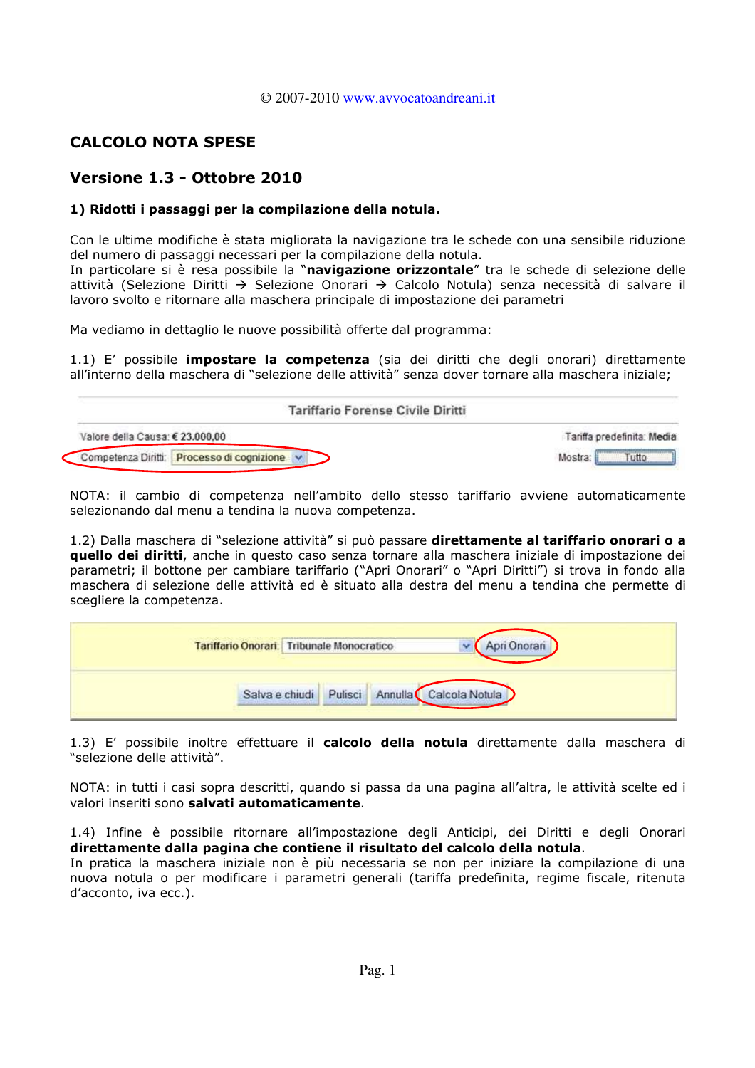#### © 2007-2010 www.avvocatoandreani.it

# **CALCOLO NOTA SPESE**

# Versione 1.3 - Ottobre 2010

## 1) Ridotti i passaggi per la compilazione della notula.

Con le ultime modifiche è stata migliorata la navigazione tra le schede con una sensibile riduzione del numero di passaggi necessari per la compilazione della notula.

In particolare si è resa possibile la "navigazione orizzontale" tra le schede di selezione delle attività (Selezione Diritti → Selezione Onorari → Calcolo Notula) senza necessità di salvare il lavoro svolto e ritornare alla maschera principale di impostazione dei parametri

Ma vediamo in dettaglio le nuove possibilità offerte dal programma:

1.1) E' possibile *impostare la competenza* (sia dei diritti che degli onorari) direttamente all'interno della maschera di "selezione delle attività" senza dover tornare alla maschera iniziale;

| Tariffario Forense Civile Diritti          |                            |
|--------------------------------------------|----------------------------|
| Valore della Causa: € 23.000.00            | Tariffa predefinita: Media |
| Competenza Diritti: Processo di cognizione | utto                       |

NOTA: il cambio di competenza nell'ambito dello stesso tariffario avviene automaticamente selezionando dal menu a tendina la nuova competenza.

1.2) Dalla maschera di "selezione attività" si può passare direttamente al tariffario onorari o a quello dei diritti, anche in questo caso senza tornare alla maschera iniziale di impostazione dei parametri; il bottone per cambiare tariffario ("Apri Onorari" o "Apri Diritti") si trova in fondo alla maschera di selezione delle attività ed è situato alla destra del menu a tendina che permette di scegliere la competenza.

| Tariffario Onorari: Tribunale Monocratico |                        |         |                | Onoran |  |
|-------------------------------------------|------------------------|---------|----------------|--------|--|
|                                           | Salva e chiudi Pulisci | Annulla | Calcola Notula |        |  |

1.3) E' possibile inoltre effettuare il calcolo della notula direttamente dalla maschera di "selezione delle attività".

NOTA: in tutti i casi sopra descritti, quando si passa da una pagina all'altra, le attività scelte ed i valori inseriti sono salvati automaticamente.

1.4) Infine è possibile ritornare all'impostazione degli Anticipi, dei Diritti e degli Onorari direttamente dalla pagina che contiene il risultato del calcolo della notula.

In pratica la maschera iniziale non è più necessaria se non per iniziare la compilazione di una nuova notula o per modificare i parametri generali (tariffa predefinita, regime fiscale, ritenuta d'acconto, iva ecc.).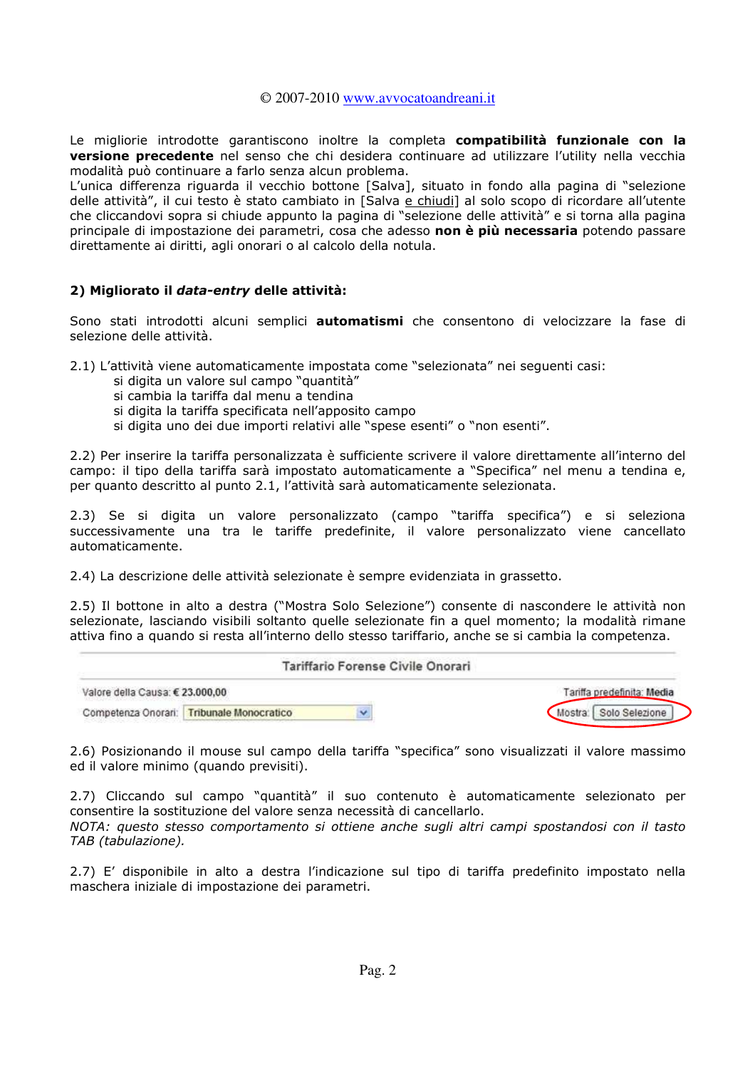#### © 2007-2010 www.avvocatoandreani.it

Le migliorie introdotte garantiscono inoltre la completa compatibilità funzionale con la versione precedente nel senso che chi desidera continuare ad utilizzare l'utility nella vecchia modalità può continuare a farlo senza alcun problema.

L'unica differenza riguarda il vecchio bottone [Salva], situato in fondo alla pagina di "selezione delle attività", il cui testo è stato cambiato in [Salva e chiudi] al solo scopo di ricordare all'utente che cliccandovi sopra si chiude appunto la pagina di "selezione delle attività" e si torna alla pagina principale di impostazione dei parametri, cosa che adesso non è più necessaria potendo passare direttamente ai diritti, agli onorari o al calcolo della notula.

#### 2) Migliorato il data-entry delle attività:

Sono stati introdotti alcuni semplici automatismi che consentono di velocizzare la fase di selezione delle attività.

2.1) L'attività viene automaticamente impostata come "selezionata" nei seguenti casi:

- si digita un valore sul campo "quantità"
- si cambia la tariffa dal menu a tendina
- si digita la tariffa specificata nell'apposito campo
- si digita uno dei due importi relativi alle "spese esenti" o "non esenti".

2.2) Per inserire la tariffa personalizzata è sufficiente scrivere il valore direttamente all'interno del campo: il tipo della tariffa sarà impostato automaticamente a "Specifica" nel menu a tendina e, per quanto descritto al punto 2.1, l'attività sarà automaticamente selezionata.

2.3) Se si digita un valore personalizzato (campo "tariffa specifica") e si seleziona successivamente una tra le tariffe predefinite, il valore personalizzato viene cancellato automaticamente.

2.4) La descrizione delle attività selezionate è sempre evidenziata in grassetto.

2.5) Il bottone in alto a destra ("Mostra Solo Selezione") consente di nascondere le attività non selezionate, lasciando visibili soltanto quelle selezionate fin a quel momento; la modalità rimane attiva fino a quando si resta all'interno dello stesso tariffario, anche se si cambia la competenza.

|                                 |                                           | Tariffario Forense Civile Onorari |
|---------------------------------|-------------------------------------------|-----------------------------------|
| Valore della Causa: € 23.000,00 |                                           | Tariffa predefinita: Media        |
|                                 | Competenza Onorari: Tribunale Monocratico |                                   |

2.6) Posizionando il mouse sul campo della tariffa "specifica" sono visualizzati il valore massimo ed il valore minimo (quando previsiti).

2.7) Cliccando sul campo "quantità" il suo contenuto è automaticamente selezionato per consentire la sostituzione del valore senza necessità di cancellarlo.

NOTA: questo stesso comportamento si ottiene anche sugli altri campi spostandosi con il tasto TAB (tabulazione).

2.7) E' disponibile in alto a destra l'indicazione sul tipo di tariffa predefinito impostato nella maschera iniziale di impostazione dei parametri.